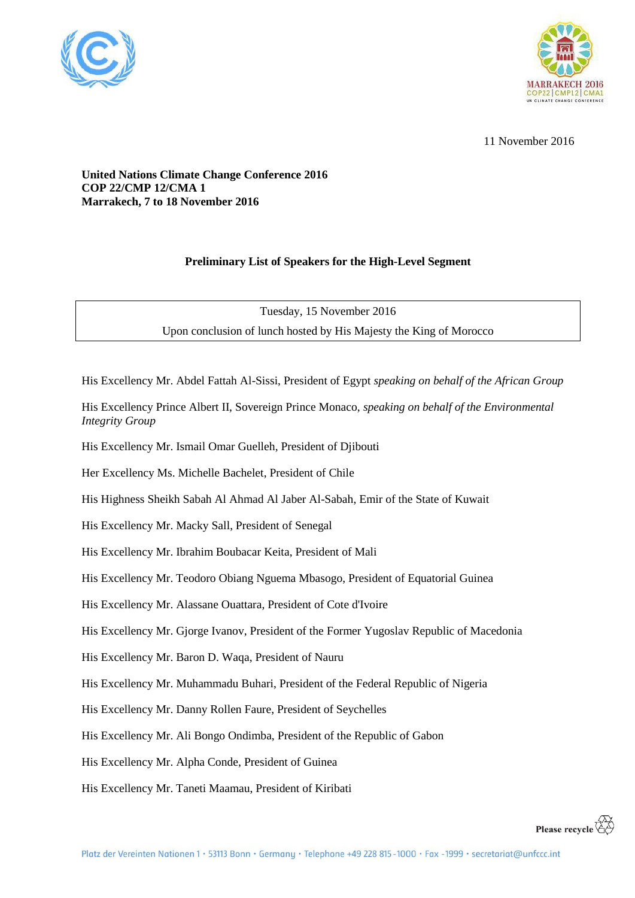



11 November 2016

## **United Nations Climate Change Conference 2016 COP 22/CMP 12/CMA 1 Marrakech, 7 to 18 November 2016**

## **Preliminary List of Speakers for the High-Level Segment**

Tuesday, 15 November 2016 Upon conclusion of lunch hosted by His Majesty the King of Morocco

His Excellency Mr. Abdel Fattah Al-Sissi, President of Egypt *speaking on behalf of the African Group*

His Excellency Prince Albert II, Sovereign Prince Monaco, *speaking on behalf of the Environmental Integrity Group* 

His Excellency Mr. Ismail Omar Guelleh, President of Djibouti

Her Excellency Ms. Michelle Bachelet, President of Chile

His Highness Sheikh Sabah Al Ahmad Al Jaber Al-Sabah, Emir of the State of Kuwait

His Excellency Mr. Macky Sall, President of Senegal

His Excellency Mr. Ibrahim Boubacar Keita, President of Mali

His Excellency Mr. Teodoro Obiang Nguema Mbasogo, President of Equatorial Guinea

His Excellency Mr. Alassane Ouattara, President of Cote d'Ivoire

His Excellency Mr. Gjorge Ivanov, President of the Former Yugoslav Republic of Macedonia

His Excellency Mr. Baron D. Waqa, President of Nauru

His Excellency Mr. Muhammadu Buhari, President of the Federal Republic of Nigeria

His Excellency Mr. Danny Rollen Faure, President of Seychelles

His Excellency Mr. Ali Bongo Ondimba, President of the Republic of Gabon

His Excellency Mr. Alpha Conde, President of Guinea

His Excellency Mr. Taneti Maamau, President of Kiribati

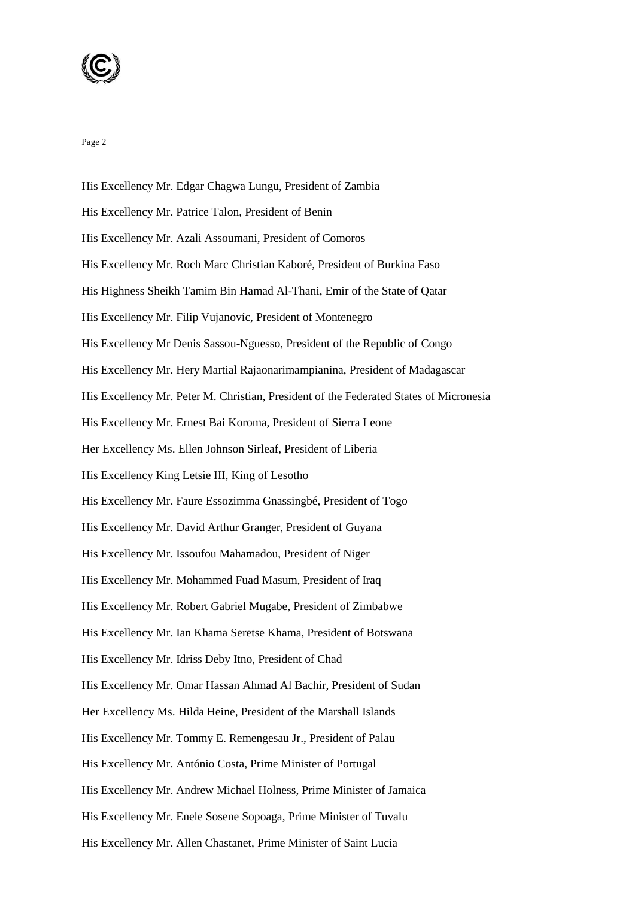

His Excellency Mr. Edgar Chagwa Lungu, President of Zambia His Excellency Mr. Patrice Talon, President of Benin His Excellency Mr. Azali Assoumani, President of Comoros His Excellency Mr. Roch Marc Christian Kaboré, President of Burkina Faso His Highness Sheikh Tamim Bin Hamad Al-Thani, Emir of the State of Qatar His Excellency Mr. Filip Vujanovíc, President of Montenegro His Excellency Mr Denis Sassou-Nguesso, President of the Republic of Congo His Excellency Mr. Hery Martial Rajaonarimampianina, President of Madagascar His Excellency Mr. Peter M. Christian, President of the Federated States of Micronesia His Excellency Mr. Ernest Bai Koroma, President of Sierra Leone Her Excellency Ms. Ellen Johnson Sirleaf, President of Liberia His Excellency King Letsie III, King of Lesotho His Excellency Mr. Faure Essozimma Gnassingbé, President of Togo His Excellency Mr. David Arthur Granger, President of Guyana His Excellency Mr. Issoufou Mahamadou, President of Niger His Excellency Mr. Mohammed Fuad Masum, President of Iraq His Excellency Mr. Robert Gabriel Mugabe, President of Zimbabwe His Excellency Mr. Ian Khama Seretse Khama, President of Botswana His Excellency Mr. Idriss Deby Itno, President of Chad His Excellency Mr. Omar Hassan Ahmad Al Bachir, President of Sudan Her Excellency Ms. Hilda Heine, President of the Marshall Islands His Excellency Mr. Tommy E. Remengesau Jr., President of Palau His Excellency Mr. António Costa, Prime Minister of Portugal His Excellency Mr. Andrew Michael Holness, Prime Minister of Jamaica His Excellency Mr. Enele Sosene Sopoaga, Prime Minister of Tuvalu His Excellency Mr. Allen Chastanet, Prime Minister of Saint Lucia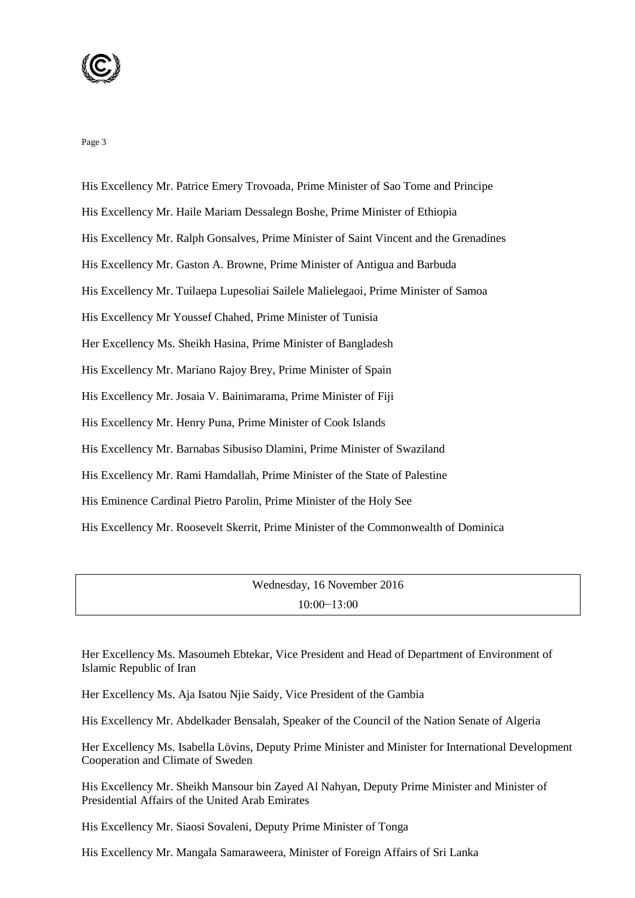

His Excellency Mr. Patrice Emery Trovoada, Prime Minister of Sao Tome and Principe His Excellency Mr. Haile Mariam Dessalegn Boshe, Prime Minister of Ethiopia His Excellency Mr. Ralph Gonsalves, Prime Minister of Saint Vincent and the Grenadines His Excellency Mr. Gaston A. Browne, Prime Minister of Antigua and Barbuda His Excellency Mr. Tuilaepa Lupesoliai Sailele Malielegaoi, Prime Minister of Samoa His Excellency Mr Youssef Chahed, Prime Minister of Tunisia Her Excellency Ms. Sheikh Hasina, Prime Minister of Bangladesh His Excellency Mr. Mariano Rajoy Brey, Prime Minister of Spain His Excellency Mr. Josaia V. Bainimarama, Prime Minister of Fiji His Excellency Mr. Henry Puna, Prime Minister of Cook Islands His Excellency Mr. Barnabas Sibusiso Dlamini, Prime Minister of Swaziland His Excellency Mr. Rami Hamdallah, Prime Minister of the State of Palestine His Eminence Cardinal Pietro Parolin, Prime Minister of the Holy See His Excellency Mr. Roosevelt Skerrit, Prime Minister of the Commonwealth of Dominica

Wednesday, 16 November 2016 10:00−13:00

Her Excellency Ms. Masoumeh Ebtekar, Vice President and Head of Department of Environment of Islamic Republic of Iran

Her Excellency Ms. Aja Isatou Njie Saidy, Vice President of the Gambia

His Excellency Mr. Abdelkader Bensalah, Speaker of the Council of the Nation Senate of Algeria

Her Excellency Ms. Isabella Lövins, Deputy Prime Minister and Minister for International Development Cooperation and Climate of Sweden

His Excellency Mr. Sheikh Mansour bin Zayed Al Nahyan, Deputy Prime Minister and Minister of Presidential Affairs of the United Arab Emirates

His Excellency Mr. Siaosi Sovaleni, Deputy Prime Minister of Tonga

His Excellency Mr. Mangala Samaraweera, Minister of Foreign Affairs of Sri Lanka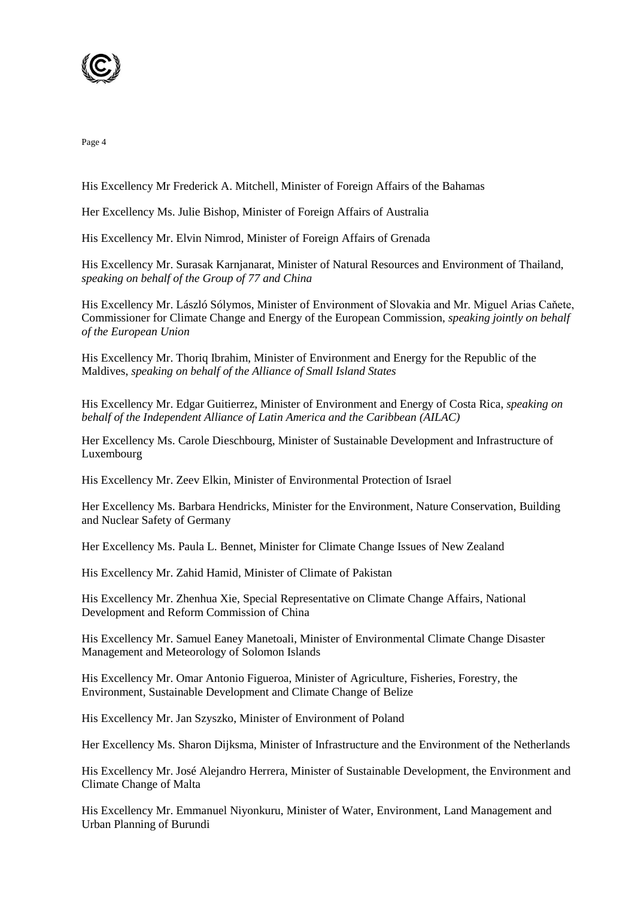

His Excellency Mr Frederick A. Mitchell, Minister of Foreign Affairs of the Bahamas

Her Excellency Ms. Julie Bishop, Minister of Foreign Affairs of Australia

His Excellency Mr. Elvin Nimrod, Minister of Foreign Affairs of Grenada

His Excellency Mr. Surasak Karnjanarat, Minister of Natural Resources and Environment of Thailand, *speaking on behalf of the Group of 77 and China*

His Excellency Mr. László Sólymos, Minister of Environment of Slovakia and Mr. Miguel Arias Caňete, Commissioner for Climate Change and Energy of the European Commission, *speaking jointly on behalf of the European Union*

His Excellency Mr. Thoriq Ibrahim, Minister of Environment and Energy for the Republic of the Maldives, *speaking on behalf of the Alliance of Small Island States*

His Excellency Mr. Edgar Guitierrez, Minister of Environment and Energy of Costa Rica, *speaking on behalf of the [Independent Alliance of Latin America and the Caribbean \(AILAC\)](https://en.wikipedia.org/wiki/Independent_Alliance_of_Latin_America_and_the_Caribbean)*

Her Excellency Ms. Carole Dieschbourg, Minister of Sustainable Development and Infrastructure of Luxembourg

His Excellency Mr. Zeev Elkin, Minister of Environmental Protection of Israel

Her Excellency Ms. Barbara Hendricks, Minister for the Environment, Nature Conservation, Building and Nuclear Safety of Germany

Her Excellency Ms. Paula L. Bennet, Minister for Climate Change Issues of New Zealand

His Excellency Mr. Zahid Hamid, Minister of Climate of Pakistan

His Excellency Mr. Zhenhua Xie, Special Representative on Climate Change Affairs, National Development and Reform Commission of China

His Excellency Mr. Samuel Eaney Manetoali, Minister of Environmental Climate Change Disaster Management and Meteorology of Solomon Islands

His Excellency Mr. Omar Antonio Figueroa, Minister of Agriculture, Fisheries, Forestry, the Environment, Sustainable Development and Climate Change of Belize

His Excellency Mr. Jan Szyszko, Minister of Environment of Poland

Her Excellency Ms. Sharon Dijksma, Minister of Infrastructure and the Environment of the Netherlands

His Excellency Mr. José Alejandro Herrera, Minister of Sustainable Development, the Environment and Climate Change of Malta

His Excellency Mr. Emmanuel Niyonkuru, Minister of Water, Environment, Land Management and Urban Planning of Burundi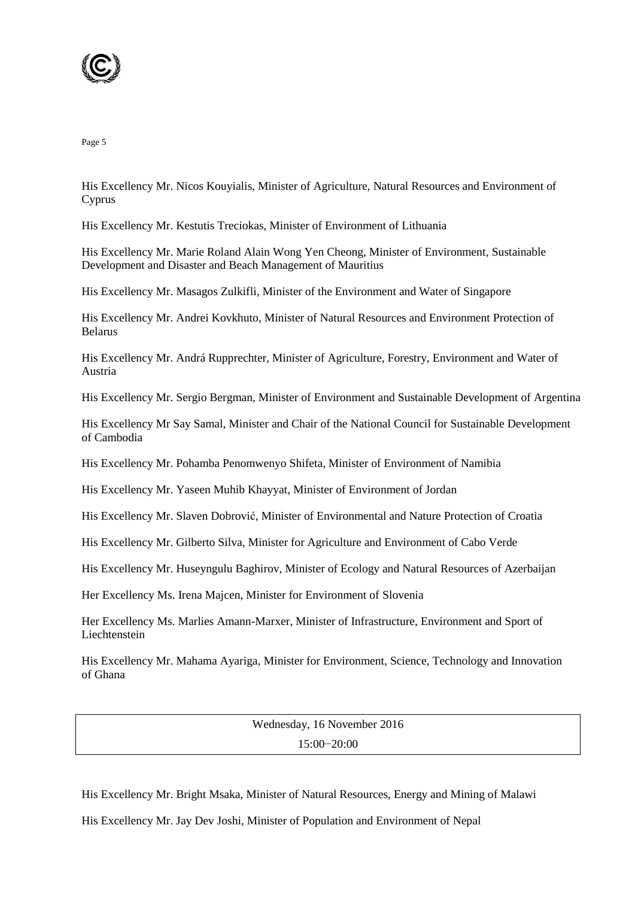

His Excellency Mr. Nicos Kouyialis, Minister of Agriculture, Natural Resources and Environment of Cyprus

His Excellency Mr. Kestutis Treciokas, Minister of Environment of Lithuania

His Excellency Mr. Marie Roland Alain Wong Yen Cheong, Minister of Environment, Sustainable Development and Disaster and Beach Management of Mauritius

His Excellency Mr. Masagos Zulkifli, Minister of the Environment and Water of Singapore

His Excellency Mr. Andrei Kovkhuto, Minister of Natural Resources and Environment Protection of Belarus

His Excellency Mr. Andrá Rupprechter, Minister of Agriculture, Forestry, Environment and Water of Austria

His Excellency Mr. Sergio Bergman, Minister of Environment and Sustainable Development of Argentina

His Excellency Mr Say Samal, Minister and Chair of the National Council for Sustainable Development of Cambodia

His Excellency Mr. Pohamba Penomwenyo Shifeta, Minister of Environment of Namibia

His Excellency Mr. Yaseen Muhib Khayyat, Minister of Environment of Jordan

His Excellency Mr. Slaven Dobrović, Minister of Environmental and Nature Protection of Croatia

His Excellency Mr. Gilberto Silva, Minister for Agriculture and Environment of Cabo Verde

His Excellency Mr. Huseyngulu Baghirov, Minister of Ecology and Natural Resources of Azerbaijan

Her Excellency Ms. Irena Majcen, Minister for Environment of Slovenia

Her Excellency Ms. Marlies Amann-Marxer, Minister of Infrastructure, Environment and Sport of Liechtenstein

His Excellency Mr. Mahama Ayariga, Minister for Environment, Science, Technology and Innovation of Ghana

> Wednesday, 16 November 2016 15:00−20:00

His Excellency Mr. Bright Msaka, Minister of Natural Resources, Energy and Mining of Malawi

His Excellency Mr. Jay Dev Joshi, Minister of Population and Environment of Nepal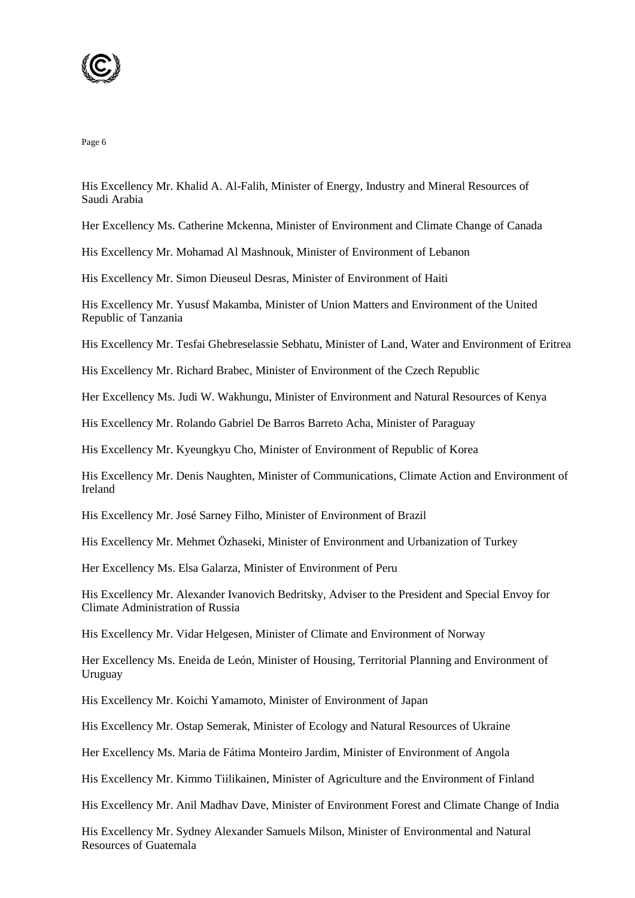

His Excellency Mr. Khalid A. Al-Falih, Minister of Energy, Industry and Mineral Resources of Saudi Arabia

Her Excellency Ms. Catherine Mckenna, Minister of Environment and Climate Change of Canada

His Excellency Mr. Mohamad Al Mashnouk, Minister of Environment of Lebanon

His Excellency Mr. Simon Dieuseul Desras, Minister of Environment of Haiti

His Excellency Mr. Yususf Makamba, Minister of Union Matters and Environment of the United Republic of Tanzania

His Excellency Mr. Tesfai Ghebreselassie Sebhatu, Minister of Land, Water and Environment of Eritrea

His Excellency Mr. Richard Brabec, Minister of Environment of the Czech Republic

Her Excellency Ms. Judi W. Wakhungu, Minister of Environment and Natural Resources of Kenya

His Excellency Mr. Rolando Gabriel De Barros Barreto Acha, Minister of Paraguay

His Excellency Mr. Kyeungkyu Cho, Minister of Environment of Republic of Korea

His Excellency Mr. Denis Naughten, Minister of Communications, Climate Action and Environment of Ireland

His Excellency Mr. José Sarney Filho, Minister of Environment of Brazil

His Excellency Mr. Mehmet Özhaseki, Minister of Environment and Urbanization of Turkey

Her Excellency Ms. Elsa Galarza, Minister of Environment of Peru

His Excellency Mr. Alexander Ivanovich Bedritsky, Adviser to the President and Special Envoy for Climate Administration of Russia

His Excellency Mr. Vidar Helgesen, Minister of Climate and Environment of Norway

Her Excellency Ms. Eneida de León, Minister of Housing, Territorial Planning and Environment of Uruguay

His Excellency Mr. Koichi Yamamoto, Minister of Environment of Japan

His Excellency Mr. Ostap Semerak, Minister of Ecology and Natural Resources of Ukraine

Her Excellency Ms. Maria de Fátima Monteiro Jardim, Minister of Environment of Angola

His Excellency Mr. Kimmo Tiilikainen, Minister of Agriculture and the Environment of Finland

His Excellency Mr. Anil Madhav Dave, Minister of Environment Forest and Climate Change of India

His Excellency Mr. Sydney Alexander Samuels Milson, Minister of Environmental and Natural Resources of Guatemala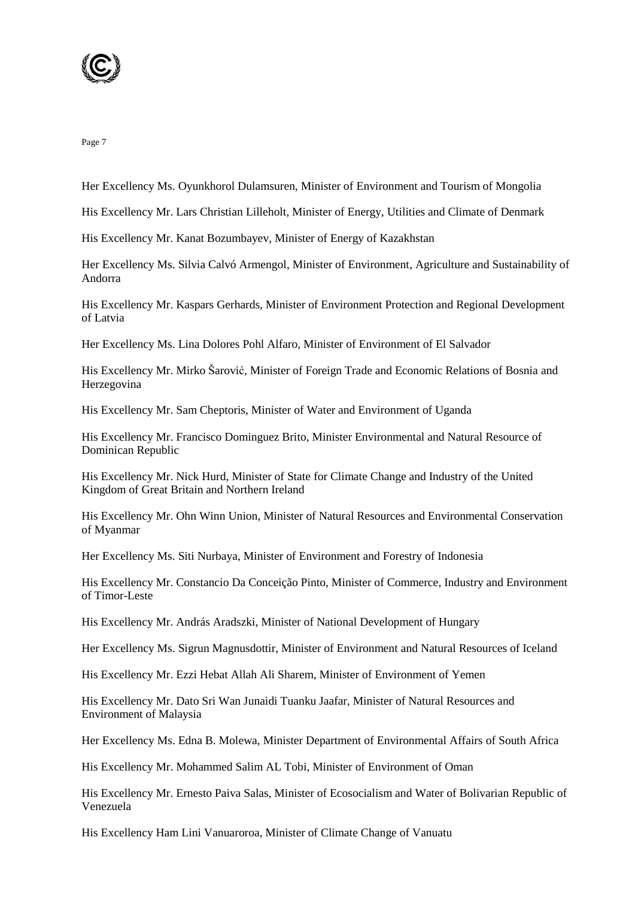

Her Excellency Ms. Oyunkhorol Dulamsuren, Minister of Environment and Tourism of Mongolia

His Excellency Mr. Lars Christian Lilleholt, Minister of Energy, Utilities and Climate of Denmark

His Excellency Mr. Kanat Bozumbayev, Minister of Energy of Kazakhstan

Her Excellency Ms. Silvia Calvó Armengol, Minister of Environment, Agriculture and Sustainability of Andorra

His Excellency Mr. Kaspars Gerhards, Minister of Environment Protection and Regional Development of Latvia

Her Excellency Ms. Lina Dolores Pohl Alfaro, Minister of Environment of El Salvador

His Excellency Mr. Mirko Šarović, Minister of Foreign Trade and Economic Relations of Bosnia and Herzegovina

His Excellency Mr. Sam Cheptoris, Minister of Water and Environment of Uganda

His Excellency Mr. Francisco Dominguez Brito, Minister Environmental and Natural Resource of Dominican Republic

His Excellency Mr. Nick Hurd, Minister of State for Climate Change and Industry of the United Kingdom of Great Britain and Northern Ireland

His Excellency Mr. Ohn Winn Union, Minister of Natural Resources and Environmental Conservation of Myanmar

Her Excellency Ms. Siti Nurbaya, Minister of Environment and Forestry of Indonesia

His Excellency Mr. Constancio Da Conceição Pinto, Minister of Commerce, Industry and Environment of Timor-Leste

His Excellency Mr. András Aradszki, Minister of National Development of Hungary

Her Excellency Ms. Sigrun Magnusdottir, Minister of Environment and Natural Resources of Iceland

His Excellency Mr. Ezzi Hebat Allah Ali Sharem, Minister of Environment of Yemen

His Excellency Mr. Dato Sri Wan Junaidi Tuanku Jaafar, Minister of Natural Resources and Environment of Malaysia

Her Excellency Ms. Edna B. Molewa, Minister Department of Environmental Affairs of South Africa

His Excellency Mr. Mohammed Salim AL Tobi, Minister of Environment of Oman

His Excellency Mr. Ernesto Paiva Salas, Minister of Ecosocialism and Water of Bolivarian Republic of Venezuela

His Excellency Ham Lini Vanuaroroa, Minister of Climate Change of Vanuatu